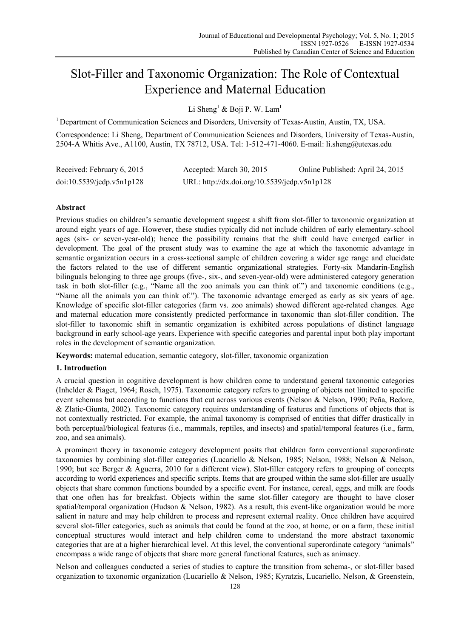# Slot-Filler and Taxonomic Organization: The Role of Contextual Experience and Maternal Education

Li Sheng<sup>1</sup> & Boji P. W. Lam<sup>1</sup>

<sup>1</sup> Department of Communication Sciences and Disorders, University of Texas-Austin, Austin, TX, USA.

Correspondence: Li Sheng, Department of Communication Sciences and Disorders, University of Texas-Austin, 2504-A Whitis Ave., A1100, Austin, TX 78712, USA. Tel: 1-512-471-4060. E-mail: li.sheng@utexas.edu

| Received: February 6, 2015 | Accepted: March 30, 2015                     | Online Published: April 24, 2015 |
|----------------------------|----------------------------------------------|----------------------------------|
| doi:10.5539/jedp.v5n1p128  | URL: http://dx.doi.org/10.5539/jedp.v5n1p128 |                                  |

# **Abstract**

Previous studies on children's semantic development suggest a shift from slot-filler to taxonomic organization at around eight years of age. However, these studies typically did not include children of early elementary-school ages (six- or seven-year-old); hence the possibility remains that the shift could have emerged earlier in development. The goal of the present study was to examine the age at which the taxonomic advantage in semantic organization occurs in a cross-sectional sample of children covering a wider age range and elucidate the factors related to the use of different semantic organizational strategies. Forty-six Mandarin-English bilinguals belonging to three age groups (five-, six-, and seven-year-old) were administered category generation task in both slot-filler (e.g., "Name all the zoo animals you can think of.") and taxonomic conditions (e.g., "Name all the animals you can think of."). The taxonomic advantage emerged as early as six years of age. Knowledge of specific slot-filler categories (farm vs. zoo animals) showed different age-related changes. Age and maternal education more consistently predicted performance in taxonomic than slot-filler condition. The slot-filler to taxonomic shift in semantic organization is exhibited across populations of distinct language background in early school-age years. Experience with specific categories and parental input both play important roles in the development of semantic organization.

**Keywords:** maternal education, semantic category, slot-filler, taxonomic organization

# **1. Introduction**

A crucial question in cognitive development is how children come to understand general taxonomic categories (Inhelder & Piaget, 1964; Rosch, 1975). Taxonomic category refers to grouping of objects not limited to specific event schemas but according to functions that cut across various events (Nelson & Nelson, 1990; Peña, Bedore, & Zlatic-Giunta, 2002). Taxonomic category requires understanding of features and functions of objects that is not contextually restricted. For example, the animal taxonomy is comprised of entities that differ drastically in both perceptual/biological features (i.e., mammals, reptiles, and insects) and spatial/temporal features (i.e., farm, zoo, and sea animals).

A prominent theory in taxonomic category development posits that children form conventional superordinate taxonomies by combining slot-filler categories (Lucariello & Nelson, 1985; Nelson, 1988; Nelson & Nelson, 1990; but see Berger & Aguerra, 2010 for a different view). Slot-filler category refers to grouping of concepts according to world experiences and specific scripts. Items that are grouped within the same slot-filler are usually objects that share common functions bounded by a specific event. For instance, cereal, eggs, and milk are foods that one often has for breakfast. Objects within the same slot-filler category are thought to have closer spatial/temporal organization (Hudson & Nelson, 1982). As a result, this event-like organization would be more salient in nature and may help children to process and represent external reality. Once children have acquired several slot-filler categories, such as animals that could be found at the zoo, at home, or on a farm, these initial conceptual structures would interact and help children come to understand the more abstract taxonomic categories that are at a higher hierarchical level. At this level, the conventional superordinate category "animals" encompass a wide range of objects that share more general functional features, such as animacy.

Nelson and colleagues conducted a series of studies to capture the transition from schema-, or slot-filler based organization to taxonomic organization (Lucariello & Nelson, 1985; Kyratzis, Lucariello, Nelson, & Greenstein,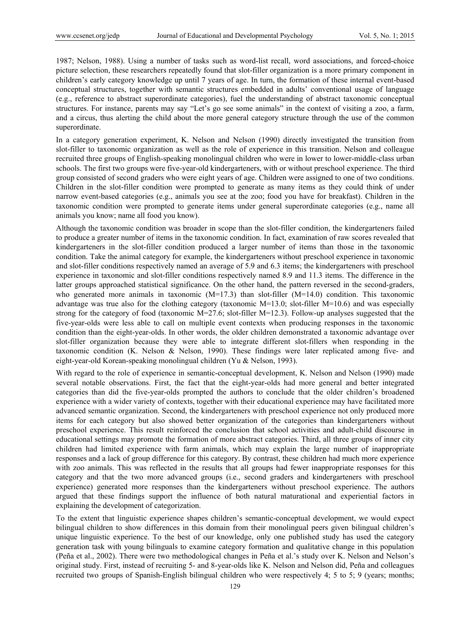1987; Nelson, 1988). Using a number of tasks such as word-list recall, word associations, and forced-choice picture selection, these researchers repeatedly found that slot-filler organization is a more primary component in children's early category knowledge up until 7 years of age. In turn, the formation of these internal event-based conceptual structures, together with semantic structures embedded in adults' conventional usage of language (e.g., reference to abstract superordinate categories), fuel the understanding of abstract taxonomic conceptual structures. For instance, parents may say "Let's go see some animals" in the context of visiting a zoo, a farm, and a circus, thus alerting the child about the more general category structure through the use of the common superordinate.

In a category generation experiment, K. Nelson and Nelson (1990) directly investigated the transition from slot-filler to taxonomic organization as well as the role of experience in this transition. Nelson and colleague recruited three groups of English-speaking monolingual children who were in lower to lower-middle-class urban schools. The first two groups were five-year-old kindergarteners, with or without preschool experience. The third group consisted of second graders who were eight years of age. Children were assigned to one of two conditions. Children in the slot-filler condition were prompted to generate as many items as they could think of under narrow event-based categories (e.g., animals you see at the zoo; food you have for breakfast). Children in the taxonomic condition were prompted to generate items under general superordinate categories (e.g., name all animals you know; name all food you know).

Although the taxonomic condition was broader in scope than the slot-filler condition, the kindergarteners failed to produce a greater number of items in the taxonomic condition. In fact, examination of raw scores revealed that kindergarteners in the slot-filler condition produced a larger number of items than those in the taxonomic condition. Take the animal category for example, the kindergarteners without preschool experience in taxonomic and slot-filler conditions respectively named an average of 5.9 and 6.3 items; the kindergarteners with preschool experience in taxonomic and slot-filler conditions respectively named 8.9 and 11.3 items. The difference in the latter groups approached statistical significance. On the other hand, the pattern reversed in the second-graders, who generated more animals in taxonomic  $(M=17.3)$  than slot-filler  $(M=14.0)$  condition. This taxonomic advantage was true also for the clothing category (taxonomic  $M=13.0$ ; slot-filler  $M=10.6$ ) and was especially strong for the category of food (taxonomic M=27.6; slot-filler M=12.3). Follow-up analyses suggested that the five-year-olds were less able to call on multiple event contexts when producing responses in the taxonomic condition than the eight-year-olds. In other words, the older children demonstrated a taxonomic advantage over slot-filler organization because they were able to integrate different slot-fillers when responding in the taxonomic condition (K. Nelson & Nelson, 1990). These findings were later replicated among five- and eight-year-old Korean-speaking monolingual children (Yu & Nelson, 1993).

With regard to the role of experience in semantic-conceptual development, K. Nelson and Nelson (1990) made several notable observations. First, the fact that the eight-year-olds had more general and better integrated categories than did the five-year-olds prompted the authors to conclude that the older children's broadened experience with a wider variety of contexts, together with their educational experience may have facilitated more advanced semantic organization. Second, the kindergarteners with preschool experience not only produced more items for each category but also showed better organization of the categories than kindergarteners without preschool experience. This result reinforced the conclusion that school activities and adult-child discourse in educational settings may promote the formation of more abstract categories. Third, all three groups of inner city children had limited experience with farm animals, which may explain the large number of inappropriate responses and a lack of group difference for this category. By contrast, these children had much more experience with zoo animals. This was reflected in the results that all groups had fewer inappropriate responses for this category and that the two more advanced groups (i.e., second graders and kindergarteners with preschool experience) generated more responses than the kindergarteners without preschool experience. The authors argued that these findings support the influence of both natural maturational and experiential factors in explaining the development of categorization.

To the extent that linguistic experience shapes children's semantic-conceptual development, we would expect bilingual children to show differences in this domain from their monolingual peers given bilingual children's unique linguistic experience. To the best of our knowledge, only one published study has used the category generation task with young bilinguals to examine category formation and qualitative change in this population (Peña et al., 2002). There were two methodological changes in Peña et al.'s study over K. Nelson and Nelson's original study. First, instead of recruiting 5- and 8-year-olds like K. Nelson and Nelson did, Peña and colleagues recruited two groups of Spanish-English bilingual children who were respectively 4; 5 to 5; 9 (years; months;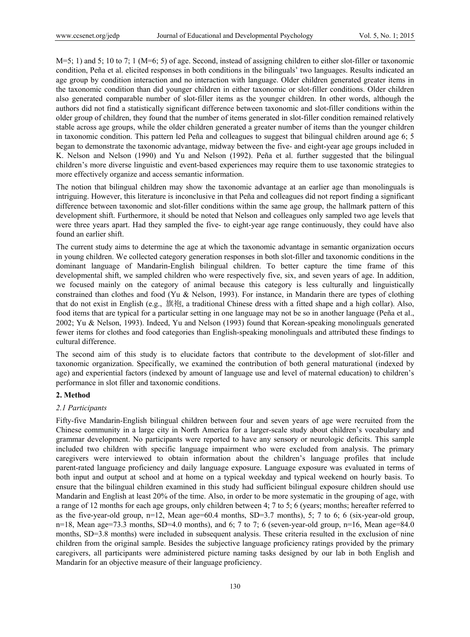M=5; 1) and 5; 10 to 7; 1 (M=6; 5) of age. Second, instead of assigning children to either slot-filler or taxonomic condition, Peña et al. elicited responses in both conditions in the bilinguals' two languages. Results indicated an age group by condition interaction and no interaction with language. Older children generated greater items in the taxonomic condition than did younger children in either taxonomic or slot-filler conditions. Older children also generated comparable number of slot-filler items as the younger children. In other words, although the authors did not find a statistically significant difference between taxonomic and slot-filler conditions within the older group of children, they found that the number of items generated in slot-filler condition remained relatively stable across age groups, while the older children generated a greater number of items than the younger children in taxonomic condition. This pattern led Peña and colleagues to suggest that bilingual children around age 6; 5 began to demonstrate the taxonomic advantage, midway between the five- and eight-year age groups included in K. Nelson and Nelson (1990) and Yu and Nelson (1992). Peña et al. further suggested that the bilingual children's more diverse linguistic and event-based experiences may require them to use taxonomic strategies to more effectively organize and access semantic information.

The notion that bilingual children may show the taxonomic advantage at an earlier age than monolinguals is intriguing. However, this literature is inconclusive in that Peña and colleagues did not report finding a significant difference between taxonomic and slot-filler conditions within the same age group, the hallmark pattern of this development shift. Furthermore, it should be noted that Nelson and colleagues only sampled two age levels that were three years apart. Had they sampled the five- to eight-year age range continuously, they could have also found an earlier shift.

The current study aims to determine the age at which the taxonomic advantage in semantic organization occurs in young children. We collected category generation responses in both slot-filler and taxonomic conditions in the dominant language of Mandarin-English bilingual children. To better capture the time frame of this developmental shift, we sampled children who were respectively five, six, and seven years of age. In addition, we focused mainly on the category of animal because this category is less culturally and linguistically constrained than clothes and food (Yu & Nelson, 1993). For instance, in Mandarin there are types of clothing that do not exist in English (e.g., 旗袍, a traditional Chinese dress with a fitted shape and a high collar). Also, food items that are typical for a particular setting in one language may not be so in another language (Peña et al., 2002; Yu & Nelson, 1993). Indeed, Yu and Nelson (1993) found that Korean-speaking monolinguals generated fewer items for clothes and food categories than English-speaking monolinguals and attributed these findings to cultural difference.

The second aim of this study is to elucidate factors that contribute to the development of slot-filler and taxonomic organization. Specifically, we examined the contribution of both general maturational (indexed by age) and experiential factors (indexed by amount of language use and level of maternal education) to children's performance in slot filler and taxonomic conditions.

# **2. Method**

## *2.1 Participants*

Fifty-five Mandarin-English bilingual children between four and seven years of age were recruited from the Chinese community in a large city in North America for a larger-scale study about children's vocabulary and grammar development. No participants were reported to have any sensory or neurologic deficits. This sample included two children with specific language impairment who were excluded from analysis. The primary caregivers were interviewed to obtain information about the children's language profiles that include parent-rated language proficiency and daily language exposure. Language exposure was evaluated in terms of both input and output at school and at home on a typical weekday and typical weekend on hourly basis. To ensure that the bilingual children examined in this study had sufficient bilingual exposure children should use Mandarin and English at least 20% of the time. Also, in order to be more systematic in the grouping of age, with a range of 12 months for each age groups, only children between 4; 7 to 5; 6 (years; months; hereafter referred to as the five-year-old group,  $n=12$ , Mean age=60.4 months, SD=3.7 months), 5; 7 to 6; 6 (six-year-old group, n=18, Mean age=73.3 months, SD=4.0 months), and 6; 7 to 7; 6 (seven-year-old group,  $n=16$ , Mean age=84.0 months, SD=3.8 months) were included in subsequent analysis. These criteria resulted in the exclusion of nine children from the original sample. Besides the subjective language proficiency ratings provided by the primary caregivers, all participants were administered picture naming tasks designed by our lab in both English and Mandarin for an objective measure of their language proficiency.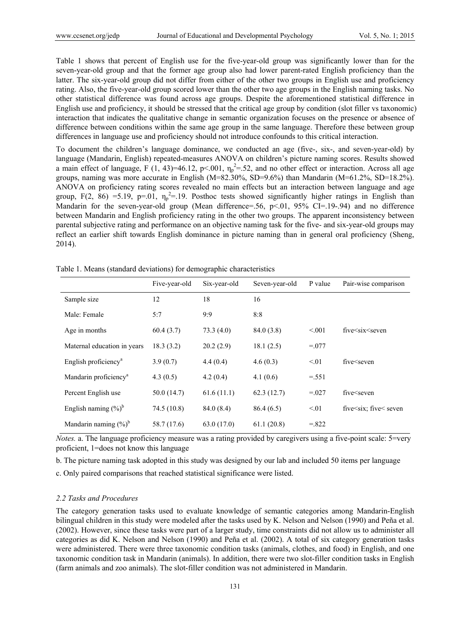Table 1 shows that percent of English use for the five-year-old group was significantly lower than for the seven-year-old group and that the former age group also had lower parent-rated English proficiency than the latter. The six-year-old group did not differ from either of the other two groups in English use and proficiency rating. Also, the five-year-old group scored lower than the other two age groups in the English naming tasks. No other statistical difference was found across age groups. Despite the aforementioned statistical difference in English use and proficiency, it should be stressed that the critical age group by condition (slot filler vs taxonomic) interaction that indicates the qualitative change in semantic organization focuses on the presence or absence of difference between conditions within the same age group in the same language. Therefore these between group differences in language use and proficiency should not introduce confounds to this critical interaction.

To document the children's language dominance, we conducted an age (five-, six-, and seven-year-old) by language (Mandarin, English) repeated-measures ANOVA on children's picture naming scores. Results showed a main effect of language, F (1, 43)=46.12, p<.001,  $\eta_p^2 = 52$ , and no other effect or interaction. Across all age groups, naming was more accurate in English (M=82.30%, SD=9.6%) than Mandarin (M=61.2%, SD=18.2%). ANOVA on proficiency rating scores revealed no main effects but an interaction between language and age group, F(2, 86) =5.19, p=.01,  $\eta_p^2$ =.19. Posthoc tests showed significantly higher ratings in English than Mandarin for the seven-year-old group (Mean difference=.56, p<.01, 95% CI=.19-.94) and no difference between Mandarin and English proficiency rating in the other two groups. The apparent inconsistency between parental subjective rating and performance on an objective naming task for the five- and six-year-old groups may reflect an earlier shift towards English dominance in picture naming than in general oral proficiency (Sheng, 2014).

|                                   | Five-year-old | Six-year-old | Seven-year-old | P value   | Pair-wise comparison               |
|-----------------------------------|---------------|--------------|----------------|-----------|------------------------------------|
| Sample size                       | 12            | 18           | 16             |           |                                    |
| Male: Female                      | 5:7           | 9:9          | 8:8            |           |                                    |
| Age in months                     | 60.4(3.7)     | 73.3(4.0)    | 84.0 (3.8)     | < 0.01    | five six seven                     |
| Maternal education in years       | 18.3(3.2)     | 20.2(2.9)    | 18.1(2.5)      | $= 0.077$ |                                    |
| English proficiency <sup>a</sup>  | 3.9(0.7)      | 4.4(0.4)     | 4.6(0.3)       | < 01      | five <seven< td=""></seven<>       |
| Mandarin proficiency <sup>a</sup> | 4.3(0.5)      | 4.2(0.4)     | 4.1(0.6)       | $=.551$   |                                    |
| Percent English use               | 50.0 (14.7)   | 61.6(11.1)   | 62.3(12.7)     | $= 0.027$ | five <seven< td=""></seven<>       |
| English naming $(\%)^b$           | 74.5 (10.8)   | 84.0 (8.4)   | 86.4(6.5)      | < 01      | five $\leq$ six; five $\leq$ seven |
| Mandarin naming $(\%)^b$          | 58.7 (17.6)   | 63.0(17.0)   | 61.1(20.8)     | $=.822$   |                                    |

Table 1. Means (standard deviations) for demographic characteristics

*Notes.* a. The language proficiency measure was a rating provided by caregivers using a five-point scale: 5=very proficient, 1=does not know this language

b. The picture naming task adopted in this study was designed by our lab and included 50 items per language

c. Only paired comparisons that reached statistical significance were listed.

#### *2.2 Tasks and Procedures*

The category generation tasks used to evaluate knowledge of semantic categories among Mandarin-English bilingual children in this study were modeled after the tasks used by K. Nelson and Nelson (1990) and Peña et al. (2002). However, since these tasks were part of a larger study, time constraints did not allow us to administer all categories as did K. Nelson and Nelson (1990) and Peña et al. (2002). A total of six category generation tasks were administered. There were three taxonomic condition tasks (animals, clothes, and food) in English, and one taxonomic condition task in Mandarin (animals). In addition, there were two slot-filler condition tasks in English (farm animals and zoo animals). The slot-filler condition was not administered in Mandarin.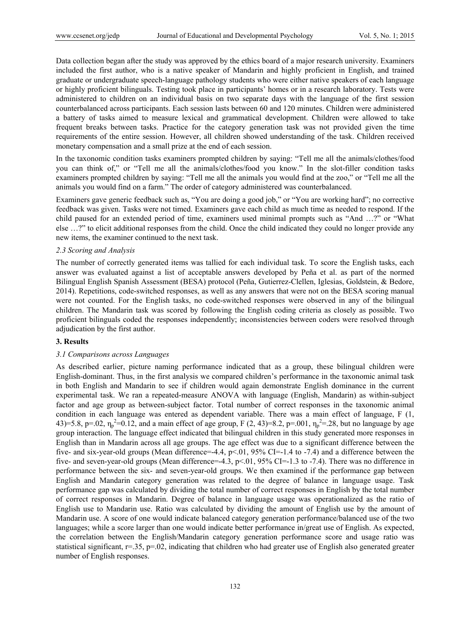Data collection began after the study was approved by the ethics board of a major research university. Examiners included the first author, who is a native speaker of Mandarin and highly proficient in English, and trained graduate or undergraduate speech-language pathology students who were either native speakers of each language or highly proficient bilinguals. Testing took place in participants' homes or in a research laboratory. Tests were administered to children on an individual basis on two separate days with the language of the first session counterbalanced across participants. Each session lasts between 60 and 120 minutes. Children were administered a battery of tasks aimed to measure lexical and grammatical development. Children were allowed to take frequent breaks between tasks. Practice for the category generation task was not provided given the time requirements of the entire session. However, all children showed understanding of the task. Children received monetary compensation and a small prize at the end of each session.

In the taxonomic condition tasks examiners prompted children by saying: "Tell me all the animals/clothes/food you can think of," or "Tell me all the animals/clothes/food you know." In the slot-filler condition tasks examiners prompted children by saying: "Tell me all the animals you would find at the zoo," or "Tell me all the animals you would find on a farm." The order of category administered was counterbalanced.

Examiners gave generic feedback such as, "You are doing a good job," or "You are working hard"; no corrective feedback was given. Tasks were not timed. Examiners gave each child as much time as needed to respond. If the child paused for an extended period of time, examiners used minimal prompts such as "And …?" or "What else …?" to elicit additional responses from the child. Once the child indicated they could no longer provide any new items, the examiner continued to the next task.

# *2.3 Scoring and Analysis*

The number of correctly generated items was tallied for each individual task. To score the English tasks, each answer was evaluated against a list of acceptable answers developed by Peña et al. as part of the normed Bilingual English Spanish Assessment (BESA) protocol (Peña, Gutierrez-Clellen, Iglesias, Goldstein, & Bedore, 2014). Repetitions, code-switched responses, as well as any answers that were not on the BESA scoring manual were not counted. For the English tasks, no code-switched responses were observed in any of the bilingual children. The Mandarin task was scored by following the English coding criteria as closely as possible. Two proficient bilinguals coded the responses independently; inconsistencies between coders were resolved through adjudication by the first author.

### **3. Results**

## *3.1 Comparisons across Languages*

As described earlier, picture naming performance indicated that as a group, these bilingual children were English-dominant. Thus, in the first analysis we compared children's performance in the taxonomic animal task in both English and Mandarin to see if children would again demonstrate English dominance in the current experimental task. We ran a repeated-measure ANOVA with language (English, Mandarin) as within-subject factor and age group as between-subject factor. Total number of correct responses in the taxonomic animal condition in each language was entered as dependent variable. There was a main effect of language, F (1, 43)=5.8, p=.02,  $\eta_p^2$ =0.12, and a main effect of age group, F (2, 43)=8.2, p=.001,  $\eta_p^2$ =.28, but no language by age group interaction. The language effect indicated that bilingual children in this study generated more responses in English than in Mandarin across all age groups. The age effect was due to a significant difference between the five- and six-year-old groups (Mean difference=-4.4, p<.01, 95% CI=-1.4 to -7.4) and a difference between the five- and seven-year-old groups (Mean difference=-4.3, p<.01, 95% CI=-1.3 to -7.4). There was no difference in performance between the six- and seven-year-old groups. We then examined if the performance gap between English and Mandarin category generation was related to the degree of balance in language usage. Task performance gap was calculated by dividing the total number of correct responses in English by the total number of correct responses in Mandarin. Degree of balance in language usage was operationalized as the ratio of English use to Mandarin use. Ratio was calculated by dividing the amount of English use by the amount of Mandarin use. A score of one would indicate balanced category generation performance/balanced use of the two languages; while a score larger than one would indicate better performance in/great use of English. As expected, the correlation between the English/Mandarin category generation performance score and usage ratio was statistical significant,  $r=.35$ ,  $p=.02$ , indicating that children who had greater use of English also generated greater number of English responses.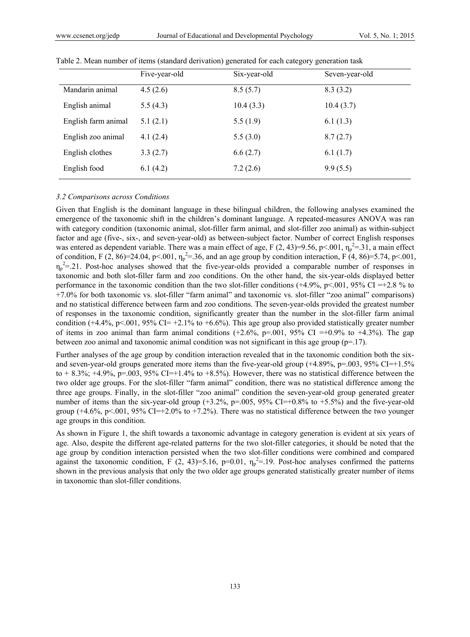|                     | Five-year-old | Six-year-old | Seven-year-old |
|---------------------|---------------|--------------|----------------|
| Mandarin animal     | 4.5(2.6)      | 8.5(5.7)     | 8.3(3.2)       |
| English animal      | 5.5(4.3)      | 10.4(3.3)    | 10.4(3.7)      |
| English farm animal | 5.1(2.1)      | 5.5(1.9)     | 6.1(1.3)       |
| English zoo animal  | 4.1(2.4)      | 5.5(3.0)     | 8.7(2.7)       |
| English clothes     | 3.3(2.7)      | 6.6(2.7)     | 6.1(1.7)       |
| English food        | 6.1(4.2)      | 7.2(2.6)     | 9.9(5.5)       |

Table 2. Mean number of items (standard derivation) generated for each category generation task

## *3.2 Comparisons across Conditions*

Given that English is the dominant language in these bilingual children, the following analyses examined the emergence of the taxonomic shift in the children's dominant language. A repeated-measures ANOVA was ran with category condition (taxonomic animal, slot-filler farm animal, and slot-filler zoo animal) as within-subject factor and age (five-, six-, and seven-year-old) as between-subject factor. Number of correct English responses was entered as dependent variable. There was a main effect of age, F (2, 43)=9.56, p<.001,  $\eta_p^2 = 31$ , a main effect of condition, F (2, 86)=24.04, p<.001,  $\eta_p^2 = 36$ , and an age group by condition interaction, F (4, 86)=5.74, p<.001,  $\eta_p^2 = 21$ . Post-hoc analyses showed that the five-year-olds provided a comparable number of responses in taxonomic and both slot-filler farm and zoo conditions. On the other hand, the six-year-olds displayed better performance in the taxonomic condition than the two slot-filler conditions (+4.9%, p<.001, 95% CI =+2.8 % to +7.0% for both taxonomic vs. slot-filler "farm animal" and taxonomic vs. slot-filler "zoo animal" comparisons) and no statistical difference between farm and zoo conditions. The seven-year-olds provided the greatest number of responses in the taxonomic condition, significantly greater than the number in the slot-filler farm animal condition  $(+4.4\%, p<.001, 95\% \text{ CI} = +2.1\% \text{ to } +6.6\%)$ . This age group also provided statistically greater number of items in zoo animal than farm animal conditions  $(+2.6\%, p=.001, 95\% \text{ CI} = +0.9\% \text{ to } +4.3\%).$  The gap between zoo animal and taxonomic animal condition was not significant in this age group  $(p=17)$ .

Further analyses of the age group by condition interaction revealed that in the taxonomic condition both the sixand seven-year-old groups generated more items than the five-year-old group (+4.89%, p=.003, 95% CI=+1.5% to + 8.3%; +4.9%, p=.003, 95% CI=+1.4% to +8.5%). However, there was no statistical difference between the two older age groups. For the slot-filler "farm animal" condition, there was no statistical difference among the three age groups. Finally, in the slot-filler "zoo animal" condition the seven-year-old group generated greater number of items than the six-year-old group (+3.2%, p=.005, 95% CI=+0.8% to +5.5%) and the five-year-old group  $(+4.6\%, p<.001, 95\% \text{ CI} = +2.0\% \text{ to } +7.2\%)$ . There was no statistical difference between the two younger age groups in this condition.

As shown in Figure 1, the shift towards a taxonomic advantage in category generation is evident at six years of age. Also, despite the different age-related patterns for the two slot-filler categories, it should be noted that the age group by condition interaction persisted when the two slot-filler conditions were combined and compared against the taxonomic condition, F  $(2, 43)=5.16$ , p=0.01,  $\eta_p^2=19$ . Post-hoc analyses confirmed the patterns shown in the previous analysis that only the two older age groups generated statistically greater number of items in taxonomic than slot-filler conditions.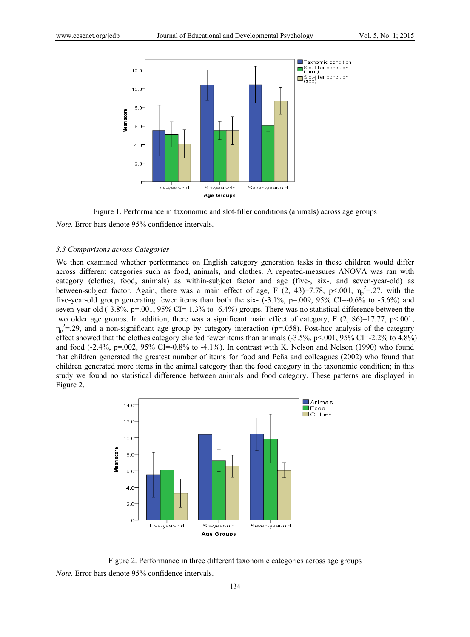

Figure 1. Performance in taxonomic and slot-filler conditions (animals) across age groups *Note.* Error bars denote 95% confidence intervals.

## *3.3 Comparisons across Categories*

We then examined whether performance on English category generation tasks in these children would differ across different categories such as food, animals, and clothes. A repeated-measures ANOVA was ran with category (clothes, food, animals) as within-subject factor and age (five-, six-, and seven-year-old) as between-subject factor. Again, there was a main effect of age, F  $(2, 43)=7.78$ , p<.001,  $\eta_p^2=27$ , with the five-year-old group generating fewer items than both the six- $(-3.1\%$ , p=.009, 95% CI=-0.6% to -5.6%) and seven-year-old (-3.8%, p=.001, 95% CI=-1.3% to -6.4%) groups. There was no statistical difference between the two older age groups. In addition, there was a significant main effect of category, F  $(2, 86)=17.77$ , p<.001,  $\eta_p^2 = 29$ , and a non-significant age group by category interaction (p=.058). Post-hoc analysis of the category effect showed that the clothes category elicited fewer items than animals (-3.5%, p<.001, 95% CI=-2.2% to 4.8%) and food  $(-2.4\%, p=.002, 95\% \text{ CI}=-0.8\%$  to  $-4.1\%$ ). In contrast with K. Nelson and Nelson (1990) who found that children generated the greatest number of items for food and Peña and colleagues (2002) who found that children generated more items in the animal category than the food category in the taxonomic condition; in this study we found no statistical difference between animals and food category. These patterns are displayed in Figure 2.



Figure 2. Performance in three different taxonomic categories across age groups *Note.* Error bars denote 95% confidence intervals.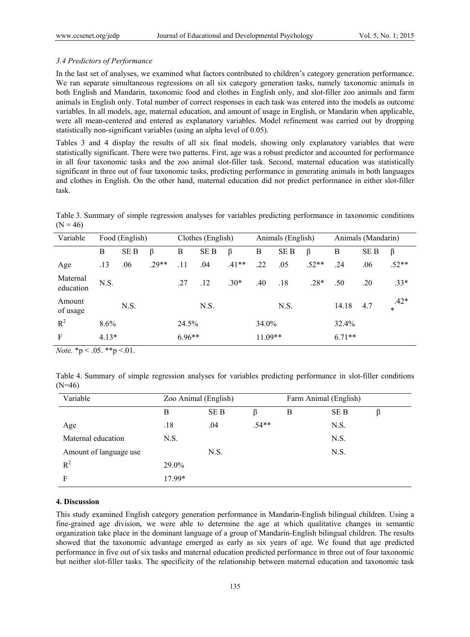# *3.4 Predictors of Performance*

In the last set of analyses, we examined what factors contributed to children's category generation performance. We ran separate simultaneous regressions on all six category generation tasks, namely taxonomic animals in both English and Mandarin, taxonomic food and clothes in English only, and slot-filler zoo animals and farm animals in English only. Total number of correct responses in each task was entered into the models as outcome variables. In all models, age, maternal education, and amount of usage in English, or Mandarin when applicable, were all mean-centered and entered as explanatory variables. Model refinement was carried out by dropping statistically non-significant variables (using an alpha level of 0.05).

Tables 3 and 4 display the results of all six final models, showing only explanatory variables that were statistically significant. There were two patterns. First, age was a robust predictor and accounted for performance in all four taxonomic tasks and the zoo animal slot-filler task. Second, maternal education was statistically significant in three out of four taxonomic tasks, predicting performance in generating animals in both languages and clothes in English. On the other hand, maternal education did not predict performance in either slot-filler task.

Table 3. Summary of simple regression analyses for variables predicting performance in taxonomic conditions  $(N = 46)$ 

| Variable              | Food (English) |      | Clothes (English) |       | Animals (English) |         |          | Animals (Mandarin) |         |                  |      |         |
|-----------------------|----------------|------|-------------------|-------|-------------------|---------|----------|--------------------|---------|------------------|------|---------|
|                       | B              | SE B | β                 | B     | SE B              | $\beta$ | B        | SE B               | $\beta$ | B                | SE B | β       |
| Age                   | .13            | .06  | $.29**$           | .11   | .04               | $.41**$ | .22      | .05                | $.52**$ | .24              | .06  | $.52**$ |
| Maternal<br>education | N.S.           |      |                   | .27   | .12               | $.30*$  | .40      | .18                | $.28*$  | .50              | .20  | $.33*$  |
| Amount<br>of usage    | N.S.           |      |                   | N.S.  |                   | N.S.    |          | 14.18              | 4.7     | $.42*$<br>$\ast$ |      |         |
| $R^2$                 | $8.6\%$        |      |                   | 24.5% |                   | 34.0%   |          | 32.4%              |         |                  |      |         |
| F                     | $4.13*$        |      | $6.96**$          |       | $11.09**$         |         | $6.71**$ |                    |         |                  |      |         |

*Note.* \*p < .05. \*\*p <.01.

Table 4. Summary of simple regression analyses for variables predicting performance in slot-filler conditions (N=46)

| Variable               | Zoo Animal (English) |      |         | Farm Animal (English) |      |   |
|------------------------|----------------------|------|---------|-----------------------|------|---|
|                        | B                    | SE B | β       | B                     | SE B | β |
| Age                    | .18                  | .04  | $.54**$ |                       | N.S. |   |
| Maternal education     | N.S.                 |      |         |                       | N.S. |   |
| Amount of language use |                      | N.S. |         |                       | N.S. |   |
| $R^2$                  | 29.0%                |      |         |                       |      |   |
| F                      | 17.99*               |      |         |                       |      |   |

# **4. Discussion**

This study examined English category generation performance in Mandarin-English bilingual children. Using a fine-grained age division, we were able to determine the age at which qualitative changes in semantic organization take place in the dominant language of a group of Mandarin-English bilingual children. The results showed that the taxonomic advantage emerged as early as six years of age. We found that age predicted performance in five out of six tasks and maternal education predicted performance in three out of four taxonomic but neither slot-filler tasks. The specificity of the relationship between maternal education and taxonomic task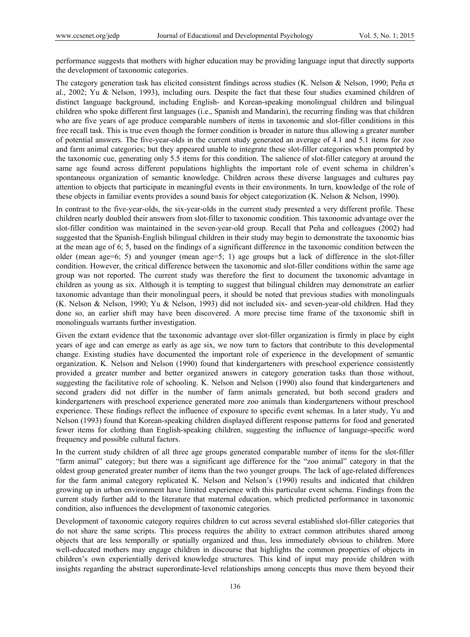performance suggests that mothers with higher education may be providing language input that directly supports the development of taxonomic categories.

The category generation task has elicited consistent findings across studies (K. Nelson & Nelson, 1990; Peña et al., 2002; Yu & Nelson, 1993), including ours. Despite the fact that these four studies examined children of distinct language background, including English- and Korean-speaking monolingual children and bilingual children who spoke different first languages (i.e., Spanish and Mandarin), the recurring finding was that children who are five years of age produce comparable numbers of items in taxonomic and slot-filler conditions in this free recall task. This is true even though the former condition is broader in nature thus allowing a greater number of potential answers. The five-year-olds in the current study generated an average of 4.1 and 5.1 items for zoo and farm animal categories; but they appeared unable to integrate these slot-filler categories when prompted by the taxonomic cue, generating only 5.5 items for this condition. The salience of slot-filler category at around the same age found across different populations highlights the important role of event schema in children's spontaneous organization of semantic knowledge. Children across these diverse languages and cultures pay attention to objects that participate in meaningful events in their environments. In turn, knowledge of the role of these objects in familiar events provides a sound basis for object categorization (K. Nelson & Nelson, 1990).

In contrast to the five-year-olds, the six-year-olds in the current study presented a very different profile. These children nearly doubled their answers from slot-filler to taxonomic condition. This taxonomic advantage over the slot-filler condition was maintained in the seven-year-old group. Recall that Peña and colleagues (2002) had suggested that the Spanish-English bilingual children in their study may begin to demonstrate the taxonomic bias at the mean age of 6; 5, based on the findings of a significant difference in the taxonomic condition between the older (mean age=6; 5) and younger (mean age=5; 1) age groups but a lack of difference in the slot-filler condition. However, the critical difference between the taxonomic and slot-filler conditions within the same age group was not reported. The current study was therefore the first to document the taxonomic advantage in children as young as six. Although it is tempting to suggest that bilingual children may demonstrate an earlier taxonomic advantage than their monolingual peers, it should be noted that previous studies with monolinguals (K. Nelson & Nelson, 1990; Yu & Nelson, 1993) did not included six- and seven-year-old children. Had they done so, an earlier shift may have been discovered. A more precise time frame of the taxonomic shift in monolinguals warrants further investigation.

Given the extant evidence that the taxonomic advantage over slot-filler organization is firmly in place by eight years of age and can emerge as early as age six, we now turn to factors that contribute to this developmental change. Existing studies have documented the important role of experience in the development of semantic organization. K. Nelson and Nelson (1990) found that kindergarteners with preschool experience consistently provided a greater number and better organized answers in category generation tasks than those without, suggesting the facilitative role of schooling. K. Nelson and Nelson (1990) also found that kindergarteners and second graders did not differ in the number of farm animals generated, but both second graders and kindergarteners with preschool experience generated more zoo animals than kindergarteners without preschool experience. These findings reflect the influence of exposure to specific event schemas. In a later study, Yu and Nelson (1993) found that Korean-speaking children displayed different response patterns for food and generated fewer items for clothing than English-speaking children, suggesting the influence of language-specific word frequency and possible cultural factors.

In the current study children of all three age groups generated comparable number of items for the slot-filler "farm animal" category; but there was a significant age difference for the "zoo animal" category in that the oldest group generated greater number of items than the two younger groups. The lack of age-related differences for the farm animal category replicated K. Nelson and Nelson's (1990) results and indicated that children growing up in urban environment have limited experience with this particular event schema. Findings from the current study further add to the literature that maternal education, which predicted performance in taxonomic condition, also influences the development of taxonomic categories.

Development of taxonomic category requires children to cut across several established slot-filler categories that do not share the same scripts. This process requires the ability to extract common attributes shared among objects that are less temporally or spatially organized and thus, less immediately obvious to children. More well-educated mothers may engage children in discourse that highlights the common properties of objects in children's own experientially derived knowledge structures. This kind of input may provide children with insights regarding the abstract superordinate-level relationships among concepts thus move them beyond their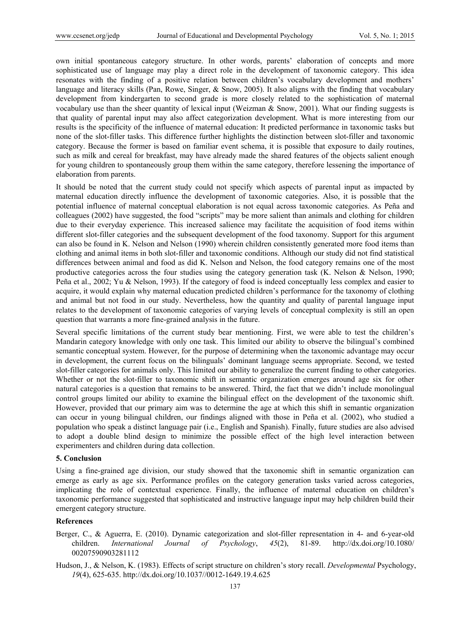own initial spontaneous category structure. In other words, parents' elaboration of concepts and more sophisticated use of language may play a direct role in the development of taxonomic category. This idea resonates with the finding of a positive relation between children's vocabulary development and mothers' language and literacy skills (Pan, Rowe, Singer, & Snow, 2005). It also aligns with the finding that vocabulary development from kindergarten to second grade is more closely related to the sophistication of maternal vocabulary use than the sheer quantity of lexical input (Weizman & Snow, 2001). What our finding suggests is that quality of parental input may also affect categorization development. What is more interesting from our results is the specificity of the influence of maternal education: It predicted performance in taxonomic tasks but none of the slot-filler tasks. This difference further highlights the distinction between slot-filler and taxonomic category. Because the former is based on familiar event schema, it is possible that exposure to daily routines, such as milk and cereal for breakfast, may have already made the shared features of the objects salient enough for young children to spontaneously group them within the same category, therefore lessening the importance of elaboration from parents.

It should be noted that the current study could not specify which aspects of parental input as impacted by maternal education directly influence the development of taxonomic categories. Also, it is possible that the potential influence of maternal conceptual elaboration is not equal across taxonomic categories. As Peña and colleagues (2002) have suggested, the food "scripts" may be more salient than animals and clothing for children due to their everyday experience. This increased salience may facilitate the acquisition of food items within different slot-filler categories and the subsequent development of the food taxonomy. Support for this argument can also be found in K. Nelson and Nelson (1990) wherein children consistently generated more food items than clothing and animal items in both slot-filler and taxonomic conditions. Although our study did not find statistical differences between animal and food as did K. Nelson and Nelson, the food category remains one of the most productive categories across the four studies using the category generation task (K. Nelson & Nelson, 1990; Peña et al., 2002; Yu & Nelson, 1993). If the category of food is indeed conceptually less complex and easier to acquire, it would explain why maternal education predicted children's performance for the taxonomy of clothing and animal but not food in our study. Nevertheless, how the quantity and quality of parental language input relates to the development of taxonomic categories of varying levels of conceptual complexity is still an open question that warrants a more fine-grained analysis in the future.

Several specific limitations of the current study bear mentioning. First, we were able to test the children's Mandarin category knowledge with only one task. This limited our ability to observe the bilingual's combined semantic conceptual system. However, for the purpose of determining when the taxonomic advantage may occur in development, the current focus on the bilinguals' dominant language seems appropriate. Second, we tested slot-filler categories for animals only. This limited our ability to generalize the current finding to other categories. Whether or not the slot-filler to taxonomic shift in semantic organization emerges around age six for other natural categories is a question that remains to be answered. Third, the fact that we didn't include monolingual control groups limited our ability to examine the bilingual effect on the development of the taxonomic shift. However, provided that our primary aim was to determine the age at which this shift in semantic organization can occur in young bilingual children, our findings aligned with those in Peña et al. (2002), who studied a population who speak a distinct language pair (i.e., English and Spanish). Finally, future studies are also advised to adopt a double blind design to minimize the possible effect of the high level interaction between experimenters and children during data collection.

# **5. Conclusion**

Using a fine-grained age division, our study showed that the taxonomic shift in semantic organization can emerge as early as age six. Performance profiles on the category generation tasks varied across categories, implicating the role of contextual experience. Finally, the influence of maternal education on children's taxonomic performance suggested that sophisticated and instructive language input may help children build their emergent category structure.

## **References**

Berger, C., & Aguerra, E. (2010). Dynamic categorization and slot-filler representation in 4- and 6-year-old children. *International Journal of Psychology*, *45*(2), 81-89. http://dx.doi.org/10.1080/ 00207590903281112

Hudson, J., & Nelson, K. (1983). Effects of script structure on children's story recall. *Developmental* Psychology, *19*(4), 625-635. http://dx.doi.org/10.1037//0012-1649.19.4.625